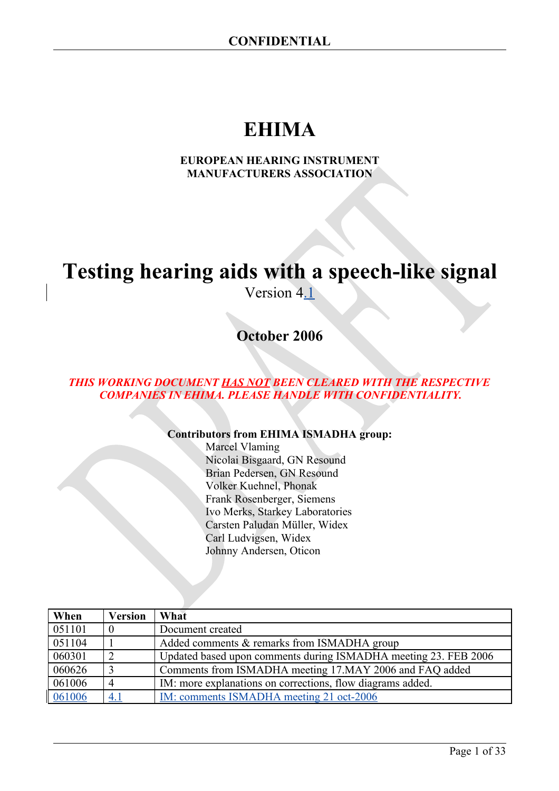# **EHIMA**

#### **EUROPEAN HEARING INSTRUMENT MANUFACTURERS ASSOCIATION**

# **Testing hearing aids with a speech-like signal**

Version 4.1

**October 2006**

#### *THIS WORKING DOCUMENT HAS NOT BEEN CLEARED WITH THE RESPECTIVE COMPANIES IN EHIMA. PLEASE HANDLE WITH CONFIDENTIALITY.*

#### **Contributors from EHIMA ISMADHA group:**

Marcel Vlaming Nicolai Bisgaard, GN Resound Brian Pedersen, GN Resound Volker Kuehnel, Phonak Frank Rosenberger, Siemens Ivo Merks, Starkey Laboratories Carsten Paludan Müller, Widex Carl Ludvigsen, Widex Johnny Andersen, Oticon

| When   | <b>Version</b> | What                                                            |
|--------|----------------|-----------------------------------------------------------------|
| 051101 | $\overline{0}$ | Document created                                                |
| 051104 |                | Added comments & remarks from ISMADHA group                     |
| 060301 | 2              | Updated based upon comments during ISMADHA meeting 23. FEB 2006 |
| 060626 | 3              | Comments from ISMADHA meeting 17.MAY 2006 and FAQ added         |
| 061006 | $\overline{4}$ | IM: more explanations on corrections, flow diagrams added.      |
| 061006 | <u>4.1</u>     | <u>IM: comments ISMADHA meeting 21 oct-2006</u>                 |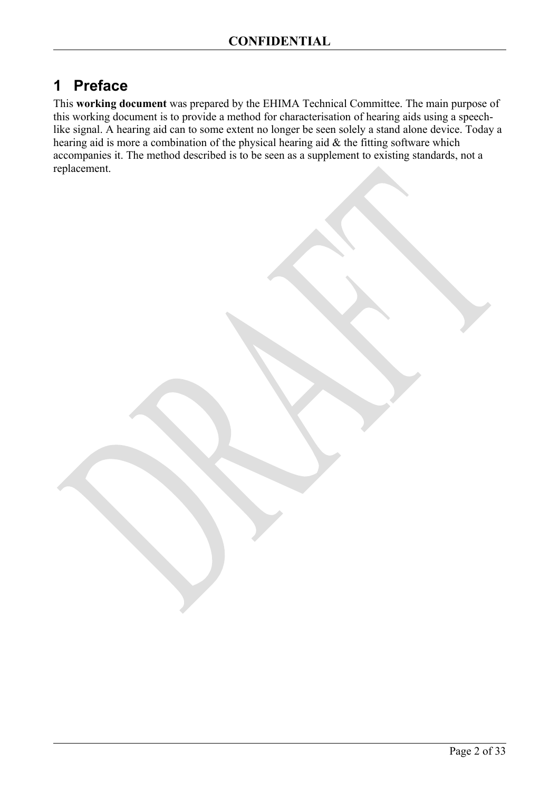## <span id="page-1-0"></span>**1 Preface**

This **working document** was prepared by the EHIMA Technical Committee. The main purpose of this working document is to provide a method for characterisation of hearing aids using a speechlike signal. A hearing aid can to some extent no longer be seen solely a stand alone device. Today a hearing aid is more a combination of the physical hearing aid  $\&$  the fitting software which accompanies it. The method described is to be seen as a supplement to existing standards, not a replacement.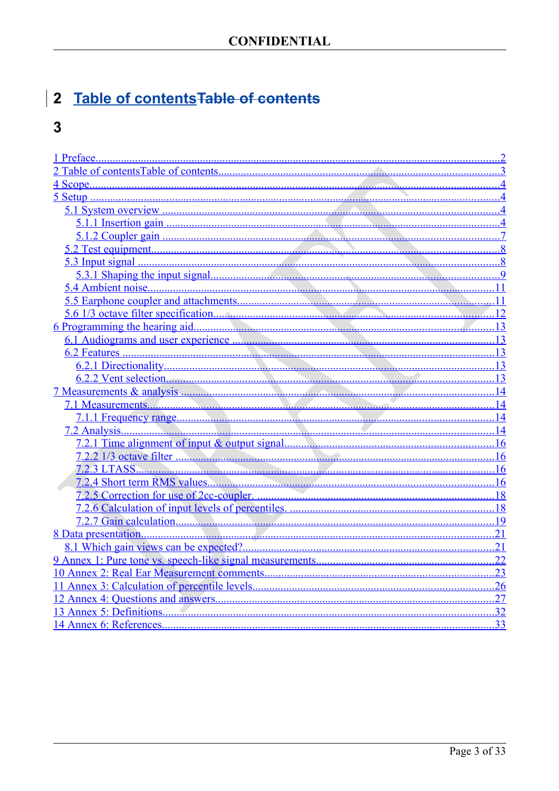# <span id="page-2-0"></span>2 Table of contents Table of contents

## $\overline{\mathbf{3}}$

|                          | 11  |
|--------------------------|-----|
|                          | 11  |
|                          |     |
|                          |     |
|                          |     |
|                          | 13  |
|                          |     |
|                          |     |
|                          |     |
|                          | .14 |
|                          | .14 |
|                          |     |
|                          |     |
|                          | 16  |
|                          |     |
|                          |     |
|                          |     |
|                          |     |
|                          | .19 |
|                          | .21 |
|                          | .21 |
|                          | .22 |
|                          | .23 |
|                          |     |
|                          | .27 |
| 13 Annex 5: Definitions. | 32  |
| 14 Annex 6: References   | 33  |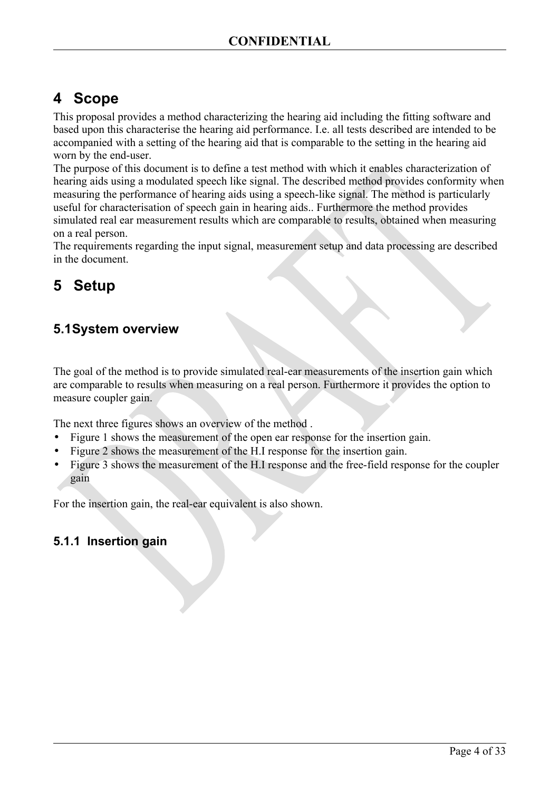## <span id="page-3-3"></span>**4 Scope**

This proposal provides a method characterizing the hearing aid including the fitting software and based upon this characterise the hearing aid performance. I.e. all tests described are intended to be accompanied with a setting of the hearing aid that is comparable to the setting in the hearing aid worn by the end-user.

The purpose of this document is to define a test method with which it enables characterization of hearing aids using a modulated speech like signal. The described method provides conformity when measuring the performance of hearing aids using a speech-like signal. The method is particularly useful for characterisation of speech gain in hearing aids.. Furthermore the method provides simulated real ear measurement results which are comparable to results, obtained when measuring on a real person.

The requirements regarding the input signal, measurement setup and data processing are described in the document.

## <span id="page-3-2"></span>**5 Setup**

## <span id="page-3-1"></span>**5.1System overview**

The goal of the method is to provide simulated real-ear measurements of the insertion gain which are comparable to results when measuring on a real person. Furthermore it provides the option to measure coupler gain.

The next three figures shows an overview of the method .

- [Figure 1](#page-4-0) shows the measurement of the open ear response for the insertion gain.
- [Figure 2](#page-5-0) shows the measurement of the H.I response for the insertion gain.
- [Figure 3](#page-6-1) shows the measurement of the H.I response and the free-field response for the coupler gain

For the insertion gain, the real-ear equivalent is also shown.

### <span id="page-3-0"></span>**5.1.1 Insertion gain**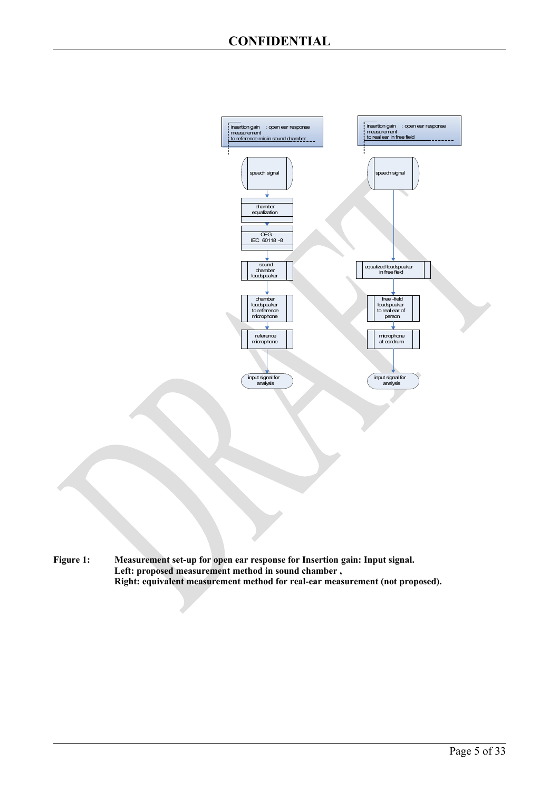

<span id="page-4-0"></span>**Figure 1: Measurement set-up for open ear response for Insertion gain: Input signal. Left: proposed measurement method in sound chamber , Right: equivalent measurement method for real-ear measurement (not proposed).**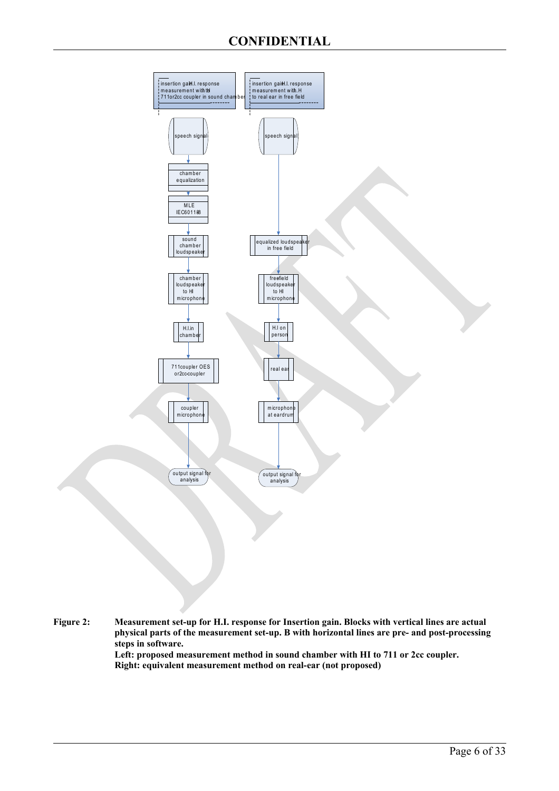

<span id="page-5-0"></span>**Figure 2: Measurement set-up for H.I. response for Insertion gain. Blocks with vertical lines are actual physical parts of the measurement set-up. B with horizontal lines are pre- and post-processing steps in software. Left: proposed measurement method in sound chamber with HI to 711 or 2cc coupler. Right: equivalent measurement method on real-ear (not proposed)**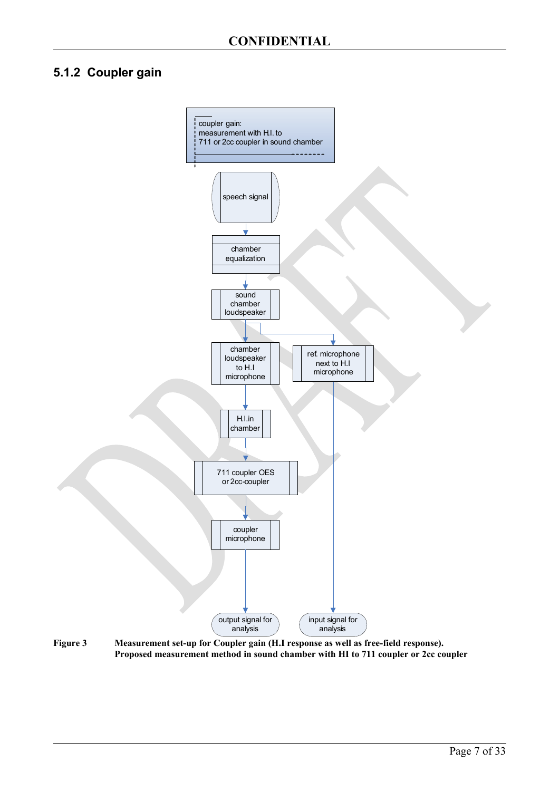### <span id="page-6-0"></span>**5.1.2 Coupler gain**



<span id="page-6-1"></span>**Figure 3 Measurement set-up for Coupler gain (H.I response as well as free-field response). Proposed measurement method in sound chamber with HI to 711 coupler or 2cc coupler**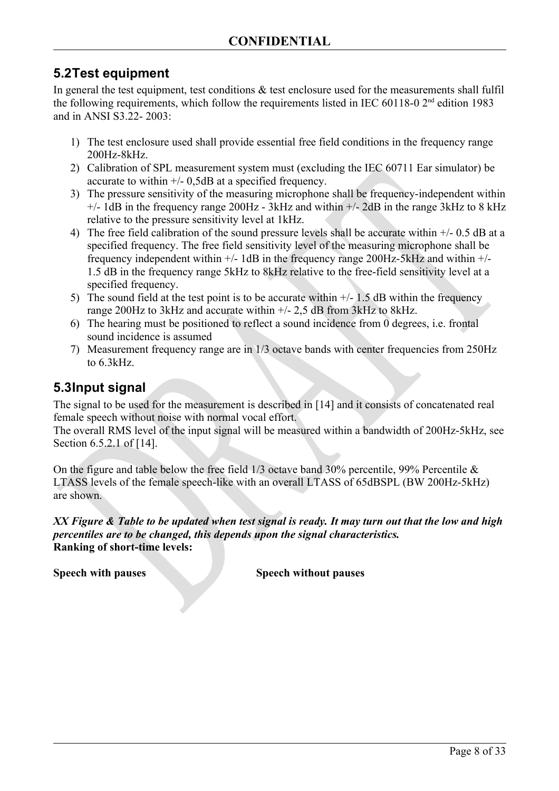## <span id="page-7-1"></span>**5.2Test equipment**

In general the test equipment, test conditions  $\&$  test enclosure used for the measurements shall fulfil the following requirements, which follow the requirements listed in IEC 60118-0  $2<sup>nd</sup>$  edition 1983 and in ANSI S3.22- 2003:

- 1) The test enclosure used shall provide essential free field conditions in the frequency range 200Hz-8kHz.
- 2) Calibration of SPL measurement system must (excluding the IEC 60711 Ear simulator) be accurate to within +/- 0,5dB at a specified frequency.
- 3) The pressure sensitivity of the measuring microphone shall be frequency-independent within  $+/-$  1dB in the frequency range 200Hz - 3kHz and within  $+/-$  2dB in the range 3kHz to 8 kHz relative to the pressure sensitivity level at 1kHz.
- 4) The free field calibration of the sound pressure levels shall be accurate within +/- 0.5 dB at a specified frequency. The free field sensitivity level of the measuring microphone shall be frequency independent within +/- 1dB in the frequency range 200Hz-5kHz and within +/- 1.5 dB in the frequency range 5kHz to 8kHz relative to the free-field sensitivity level at a specified frequency.
- 5) The sound field at the test point is to be accurate within  $+/- 1.5$  dB within the frequency range 200Hz to 3kHz and accurate within +/- 2,5 dB from 3kHz to 8kHz.
- 6) The hearing must be positioned to reflect a sound incidence from 0 degrees, i.e. frontal sound incidence is assumed
- 7) Measurement frequency range are in 1/3 octave bands with center frequencies from 250Hz to 6.3kHz.

### <span id="page-7-0"></span>**5.3Input signal**

The signal to be used for the measurement is described in [\[14\]](#page-32-2) and it consists of concatenated real female speech without noise with normal vocal effort.

The overall RMS level of the input signal will be measured within a bandwidth of 200Hz-5kHz, see Section 6.5.2.1 of [\[14\]](#page-32-1).

On the figure and table below the free field 1/3 octave band 30% percentile, 99% Percentile & LTASS levels of the female speech-like with an overall LTASS of 65dBSPL (BW 200Hz-5kHz) are shown.

*XX Figure & Table to be updated when test signal is ready. It may turn out that the low and high percentiles are to be changed, this depends upon the signal characteristics.* **Ranking of short-time levels:** 

**Speech with pauses Speech without pauses**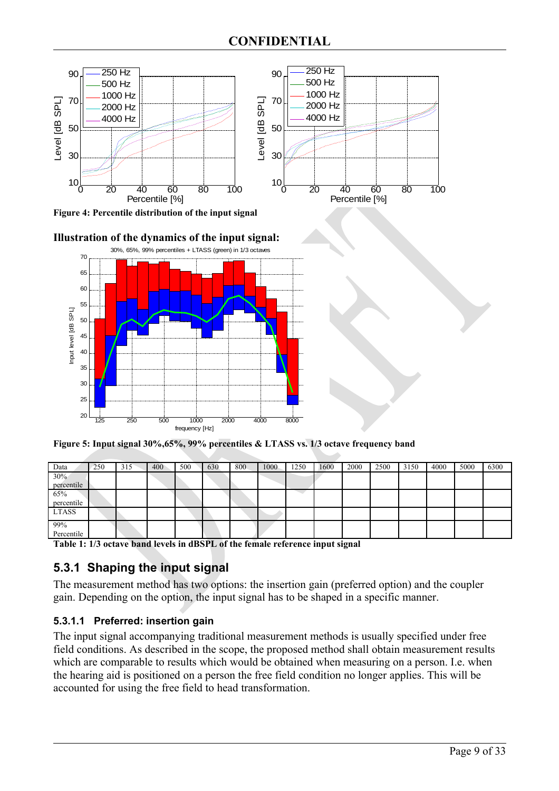

**Figure 4: Percentile distribution of the input signal** 





**Figure 5: Input signal 30%,65%, 99% percentiles & LTASS vs. 1/3 octave frequency band**

| Data       | 250 | 315 | 400 | 500 | 630 | 800 | 1000 | 1250 | 1600 | 2000 | 2500 | 3150 | 4000 | 5000 | 6300 |
|------------|-----|-----|-----|-----|-----|-----|------|------|------|------|------|------|------|------|------|
| 30%        |     |     |     |     |     |     |      |      |      |      |      |      |      |      |      |
| percentile |     |     |     |     |     |     |      |      |      |      |      |      |      |      |      |
| 65%        |     |     |     |     |     |     |      |      |      |      |      |      |      |      |      |
| percentile |     |     |     |     |     |     |      |      |      |      |      |      |      |      |      |
| LTASS      |     |     |     |     |     |     |      |      |      |      |      |      |      |      |      |
| 99%        |     |     |     |     |     |     |      |      |      |      |      |      |      |      |      |
| Percentile |     |     |     |     |     |     |      |      |      |      |      |      |      |      |      |

**Table 1: 1/3 octave band levels in dBSPL of the female reference input signal** 

### <span id="page-8-0"></span>**5.3.1 Shaping the input signal**

The measurement method has two options: the insertion gain (preferred option) and the coupler gain. Depending on the option, the input signal has to be shaped in a specific manner.

#### **5.3.1.1 Preferred: insertion gain**

The input signal accompanying traditional measurement methods is usually specified under free field conditions. As described in the scope, the proposed method shall obtain measurement results which are comparable to results which would be obtained when measuring on a person. I.e. when the hearing aid is positioned on a person the free field condition no longer applies. This will be accounted for using the free field to head transformation.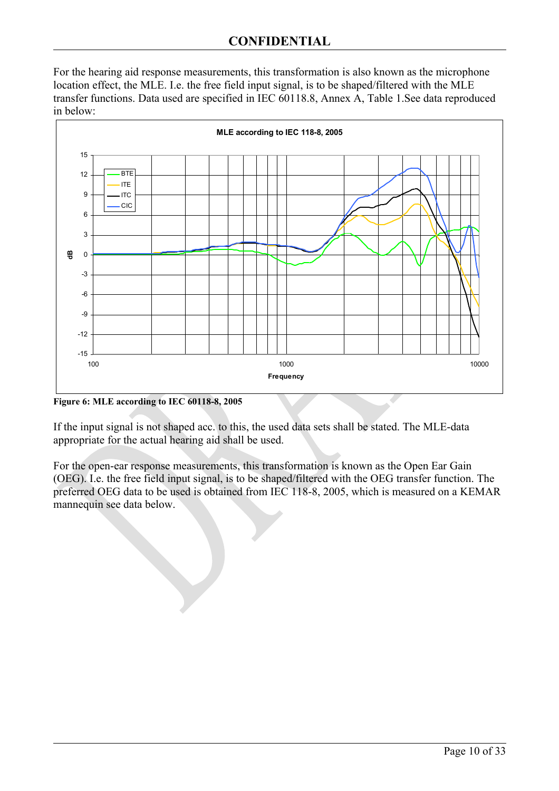For the hearing aid response measurements, this transformation is also known as the microphone location effect, the MLE. I.e. the free field input signal, is to be shaped/filtered with the MLE transfer functions. Data used are specified in IEC 60118.8, Annex A, Table 1.See data reproduced in below:



**Figure 6: MLE according to IEC 60118-8, 2005**

If the input signal is not shaped acc. to this, the used data sets shall be stated. The MLE-data appropriate for the actual hearing aid shall be used.

For the open-ear response measurements, this transformation is known as the Open Ear Gain (OEG). I.e. the free field input signal, is to be shaped/filtered with the OEG transfer function. The preferred OEG data to be used is obtained from IEC 118-8, 2005, which is measured on a KEMAR mannequin see data below.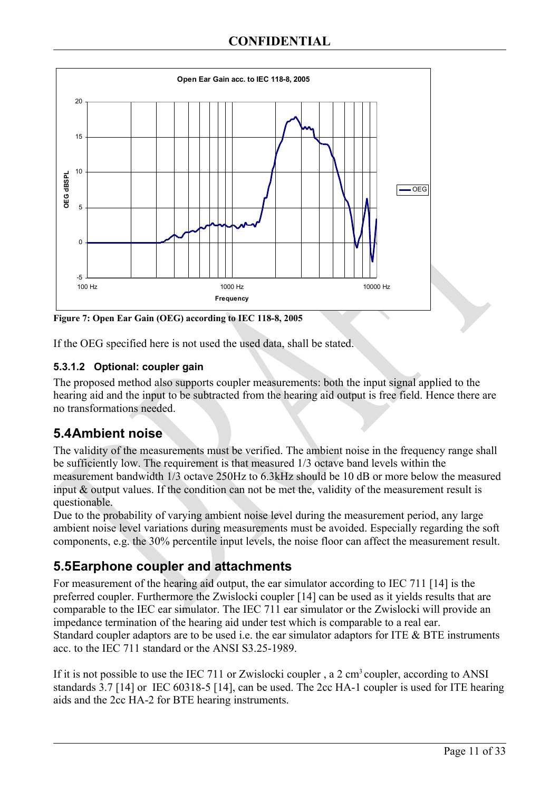

**Figure 7: Open Ear Gain (OEG) according to IEC 118-8, 2005**

If the OEG specified here is not used the used data, shall be stated.

#### **5.3.1.2 Optional: coupler gain**

The proposed method also supports coupler measurements: both the input signal applied to the hearing aid and the input to be subtracted from the hearing aid output is free field. Hence there are no transformations needed.

## <span id="page-10-1"></span>**5.4Ambient noise**

The validity of the measurements must be verified. The ambient noise in the frequency range shall be sufficiently low. The requirement is that measured 1/3 octave band levels within the measurement bandwidth 1/3 octave 250Hz to 6.3kHz should be 10 dB or more below the measured input & output values. If the condition can not be met the, validity of the measurement result is questionable.

Due to the probability of varying ambient noise level during the measurement period, any large ambient noise level variations during measurements must be avoided. Especially regarding the soft components, e.g. the 30% percentile input levels, the noise floor can affect the measurement result.

## <span id="page-10-0"></span>**5.5Earphone coupler and attachments**

For measurement of the hearing aid output, the ear simulator according to IEC 711 [\[14\]](#page-32-6) is the preferred coupler. Furthermore the Zwislocki coupler [\[14\]](#page-32-5) can be used as it yields results that are comparable to the IEC ear simulator. The IEC 711 ear simulator or the Zwislocki will provide an impedance termination of the hearing aid under test which is comparable to a real ear. Standard coupler adaptors are to be used i.e. the ear simulator adaptors for ITE & BTE instruments acc. to the IEC 711 standard or the ANSI S3.25-1989.

If it is not possible to use the IEC 711 or Zwislocki coupler, a 2 cm<sup>3</sup> coupler, according to ANSI standards 3.7 [\[14\]](#page-32-4) or IEC 60318-5 [\[14\]](#page-32-3), can be used. The 2cc HA-1 coupler is used for ITE hearing aids and the 2cc HA-2 for BTE hearing instruments.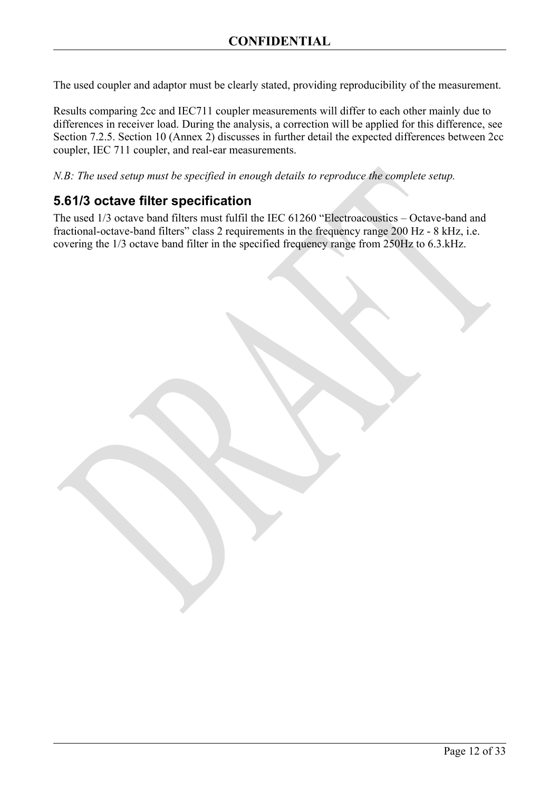The used coupler and adaptor must be clearly stated, providing reproducibility of the measurement.

Results comparing 2cc and IEC711 coupler measurements will differ to each other mainly due to differences in receiver load. During the analysis, a correction will be applied for this difference, see Section [7.2.5.](#page-17-2) Section [10](#page-22-0) (Annex 2) discusses in further detail the expected differences between 2cc coupler, IEC 711 coupler, and real-ear measurements.

*N.B: The used setup must be specified in enough details to reproduce the complete setup.*

### <span id="page-11-0"></span>**5.61/3 octave filter specification**

The used 1/3 octave band filters must fulfil the IEC 61260 "Electroacoustics – Octave-band and fractional-octave-band filters" class 2 requirements in the frequency range 200 Hz - 8 kHz, i.e. covering the 1/3 octave band filter in the specified frequency range from 250Hz to 6.3.kHz.

Page 12 of 33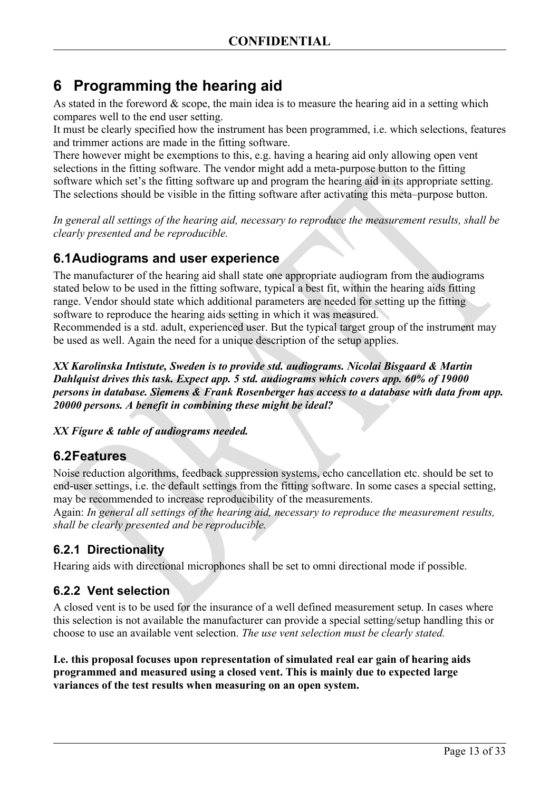## <span id="page-12-4"></span>**6 Programming the hearing aid**

As stated in the foreword  $\&$  scope, the main idea is to measure the hearing aid in a setting which compares well to the end user setting.

It must be clearly specified how the instrument has been programmed, i.e. which selections, features and trimmer actions are made in the fitting software.

There however might be exemptions to this, e.g. having a hearing aid only allowing open vent selections in the fitting software. The vendor might add a meta-purpose button to the fitting software which set's the fitting software up and program the hearing aid in its appropriate setting. The selections should be visible in the fitting software after activating this meta–purpose button.

*In general all settings of the hearing aid, necessary to reproduce the measurement results, shall be clearly presented and be reproducible.*

## <span id="page-12-3"></span>**6.1Audiograms and user experience**

The manufacturer of the hearing aid shall state one appropriate audiogram from the audiograms stated below to be used in the fitting software, typical a best fit, within the hearing aids fitting range. Vendor should state which additional parameters are needed for setting up the fitting software to reproduce the hearing aids setting in which it was measured.

Recommended is a std. adult, experienced user. But the typical target group of the instrument may be used as well. Again the need for a unique description of the setup applies.

*XX Karolinska Intistute, Sweden is to provide std. audiograms. Nicolai Bisgaard & Martin Dahlquist drives this task. Expect app. 5 std. audiograms which covers app. 60% of 19000 persons in database. Siemens & Frank Rosenberger has access to a database with data from app. 20000 persons. A benefit in combining these might be ideal?*

*XX Fígure & table of audiograms needed.*

### <span id="page-12-2"></span>**6.2Features**

Noise reduction algorithms, feedback suppression systems, echo cancellation etc. should be set to end-user settings, i.e. the default settings from the fitting software. In some cases a special setting, may be recommended to increase reproducibility of the measurements.

Again: *In general all settings of the hearing aid, necessary to reproduce the measurement results, shall be clearly presented and be reproducible.*

### <span id="page-12-1"></span>**6.2.1 Directionality**

Hearing aids with directional microphones shall be set to omni directional mode if possible.

### <span id="page-12-0"></span>**6.2.2 Vent selection**

A closed vent is to be used for the insurance of a well defined measurement setup. In cases where this selection is not available the manufacturer can provide a special setting/setup handling this or choose to use an available vent selection. *The use vent selection must be clearly stated.*

**I.e. this proposal focuses upon representation of simulated real ear gain of hearing aids programmed and measured using a closed vent. This is mainly due to expected large variances of the test results when measuring on an open system.**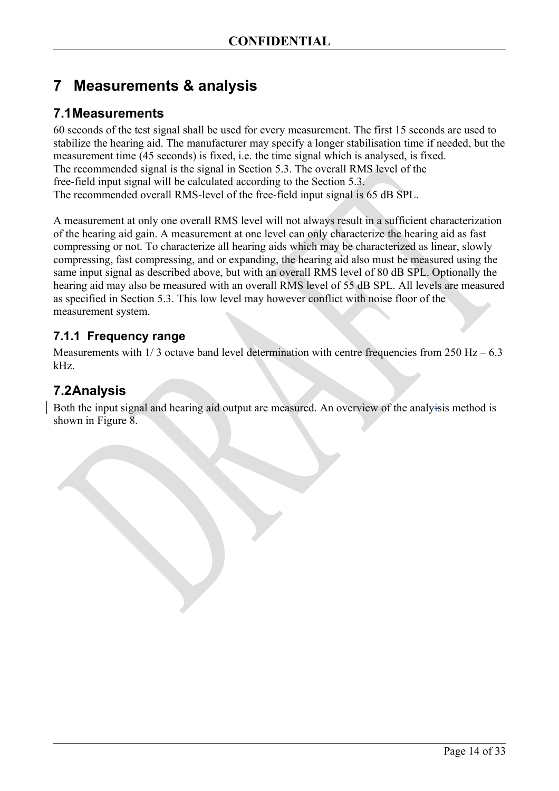## <span id="page-13-3"></span>**7 Measurements & analysis**

### <span id="page-13-2"></span>**7.1Measurements**

60 seconds of the test signal shall be used for every measurement. The first 15 seconds are used to stabilize the hearing aid. The manufacturer may specify a longer stabilisation time if needed, but the measurement time (45 seconds) is fixed, i.e. the time signal which is analysed, is fixed. The recommended signal is the signal in Section [5.3.](#page-7-0) The overall RMS level of the free-field input signal will be calculated according to the Section [5.3.](#page-7-0) The recommended overall RMS-level of the free-field input signal is 65 dB SPL.

A measurement at only one overall RMS level will not always result in a sufficient characterization of the hearing aid gain. A measurement at one level can only characterize the hearing aid as fast compressing or not. To characterize all hearing aids which may be characterized as linear, slowly compressing, fast compressing, and or expanding, the hearing aid also must be measured using the same input signal as described above, but with an overall RMS level of 80 dB SPL. Optionally the hearing aid may also be measured with an overall RMS level of 55 dB SPL. All levels are measured as specified in Section [5.3.](#page-7-0) This low level may however conflict with noise floor of the measurement system.

### <span id="page-13-1"></span>**7.1.1 Frequency range**

Measurements with  $1/3$  octave band level determination with centre frequencies from  $250$  Hz – 6.3 kHz.

## <span id="page-13-0"></span>**7.2Analysis**

Both the input signal and hearing aid output are measured. An overview of the analyisis method is shown in [Figure 8.](#page-14-0)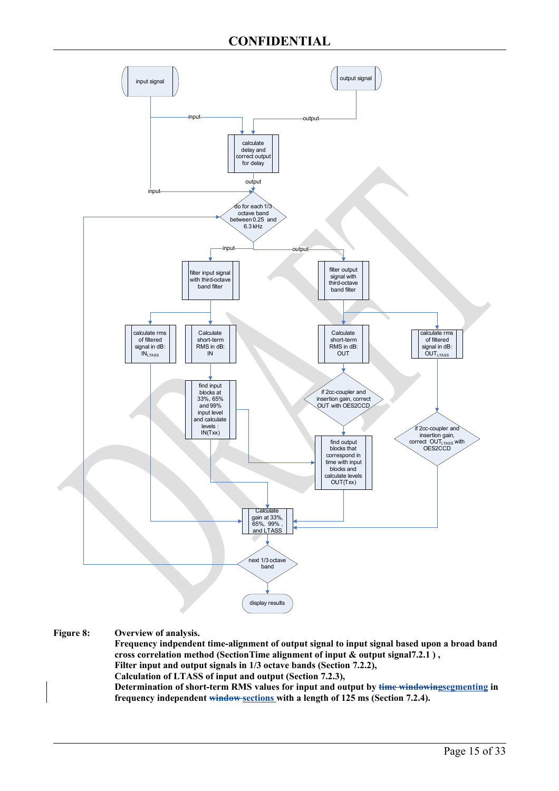

<span id="page-14-0"></span>**Figure 8: Overview of analysis.** 

**Frequency indpendent time-alignment of output signal to input signal based upon a broad band cross correlation method (Sectio[nTime alignment of input & output signal7.2.1](#page-15-3) ) , Filter input and output signals in 1/3 octave bands (Section [7.2.2\)](#page-15-2), Calculation of LTASS of input and output (Section [7.2.3\)](#page-15-1), Determination of short-term RMS values for input and output by time windowingsegmenting in frequency independent window sections with a length of 125 ms (Section [7.2.4\)](#page-15-0).**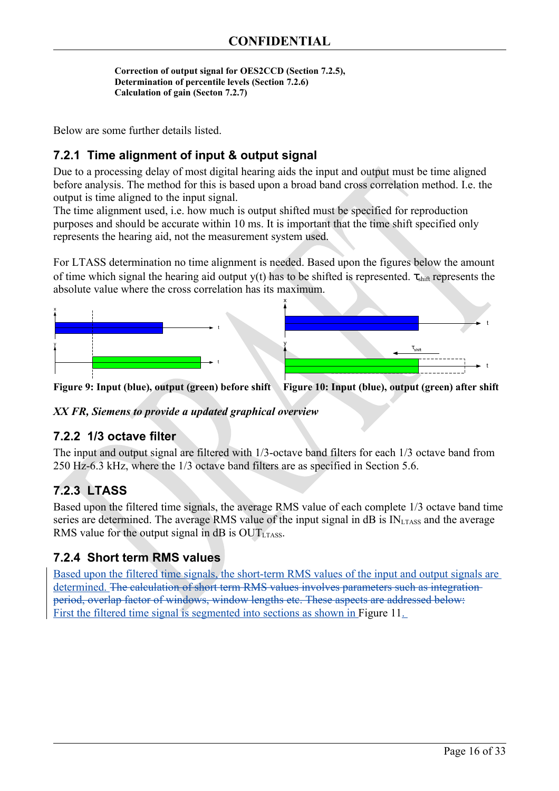```
Correction of output signal for OES2CCD (Section 7.2.5), 
Determination of percentile levels (Section 7.2.6)
Calculation of gain (Secton 7.2.7)
```
Below are some further details listed.

### <span id="page-15-3"></span>**7.2.1 Time alignment of input & output signal**

Due to a processing delay of most digital hearing aids the input and output must be time aligned before analysis. The method for this is based upon a broad band cross correlation method. I.e. the output is time aligned to the input signal.

The time alignment used, i.e. how much is output shifted must be specified for reproduction purposes and should be accurate within 10 ms. It is important that the time shift specified only represents the hearing aid, not the measurement system used.

For LTASS determination no time alignment is needed. Based upon the figures below the amount of time which signal the hearing aid output y(t) has to be shifted is represented.  $\tau_{\text{shift}}$  represents the absolute value where the cross correlation has its maximum.



**Figure 9: Input (blue), output (green) before shift Figure 10: Input (blue), output (green) after shift**

*XX FR, Siemens to provide a updated graphical overview*

#### <span id="page-15-2"></span>**7.2.2 1/3 octave filter**

The input and output signal are filtered with 1/3-octave band filters for each 1/3 octave band from 250 Hz-6.3 kHz, where the 1/3 octave band filters are as specified in Section [5.6.](#page-11-0)

### <span id="page-15-1"></span>**7.2.3 LTASS**

Based upon the filtered time signals, the average RMS value of each complete 1/3 octave band time series are determined. The average RMS value of the input signal in  $dB$  is  $IN<sub>LTASS</sub>$  and the average RMS value for the output signal in  $dB$  is  $OUT_{LTASS}$ .

### <span id="page-15-0"></span>**7.2.4 Short term RMS values**

Based upon the filtered time signals, the short-term RMS values of the input and output signals are determined. The calculation of short term RMS values involves parameters such as integrationperiod, overlap factor of windows, window lengths etc. These aspects are addressed below: First the filtered time signal is segmented into sections as shown in [Figure 11.](#page-16-0)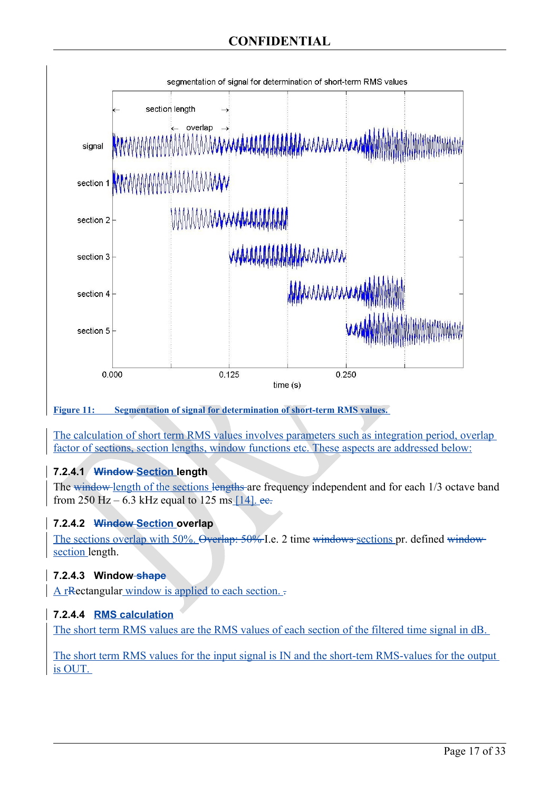

<span id="page-16-0"></span>**Figure 11: Segmentation of signal for determination of short-term RMS values.** 

The calculation of short term RMS values involves parameters such as integration period, overlap factor of sections, section lengths, window functions etc. These aspects are addressed below:

### **7.2.4.1 Window Section length**

The window length of the sections lengths are frequency independent and for each 1/3 octave band from 250 Hz – 6.3 kHz equal to 125 ms [\[14\]](#page-32-7). ee.

### **7.2.4.2 Window Section overlap**

The sections overlap with 50%. Overlap: 50% I.e. 2 time windows sections pr. defined windowsection length.

### **7.2.4.3 Window shape**

A rRectangular window is applied to each section. .

### **7.2.4.4 RMS calculation**

The short term RMS values are the RMS values of each section of the filtered time signal in dB.

The short term RMS values for the input signal is IN and the short-tem RMS-values for the output is OUT.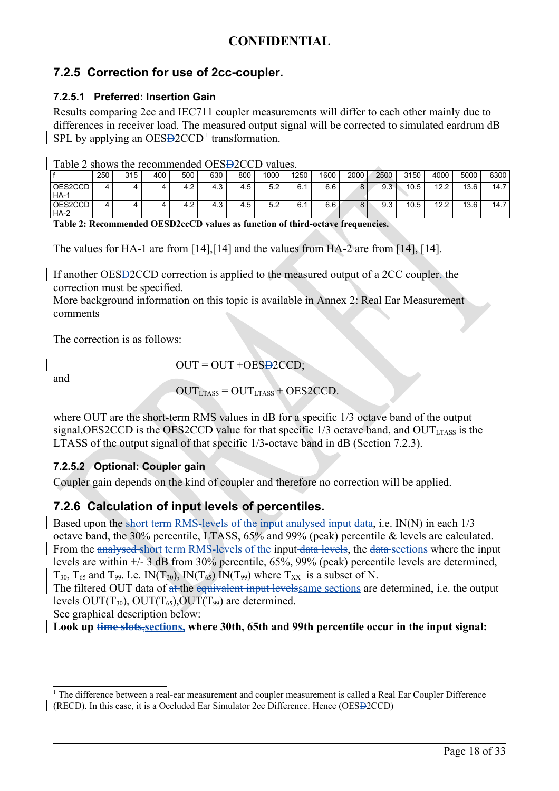### <span id="page-17-2"></span><span id="page-17-1"></span>**7.2.5 Correction for use of 2cc-coupler.**

#### **7.2.5.1 Preferred: Insertion Gain**

Results comparing 2cc and IEC711 coupler measurements will differ to each other mainly due to differences in receiver load. The measured output signal will be corrected to simulated eardrum dB SPL by applying an  $OES\rightarrow 2CCD<sup>1</sup>$  $OES\rightarrow 2CCD<sup>1</sup>$  $OES\rightarrow 2CCD<sup>1</sup>$  transformation.

| Table 2 shows the recommended OES <del>D</del> 2CCD values. |  |  |  |  |
|-------------------------------------------------------------|--|--|--|--|
|-------------------------------------------------------------|--|--|--|--|

|                   | 250 | 315 | 400 | 500 | 630 | 800 | 1000 | 1250 | 1600 | 2000   | 2500 | 3150 | 4000 | 5000 | 6300 |
|-------------------|-----|-----|-----|-----|-----|-----|------|------|------|--------|------|------|------|------|------|
| OES2CCD<br>  HA-1 | 4   | 4   |     | 4.2 | 4.3 | 4.5 | 5.2  | 6.   | 6.6  | 8      | 9.3  | 10.5 | 12.2 | 13.6 | 14.7 |
| OES2CCD<br>  HA-2 | 4   |     |     | 4.2 | 4.3 | 4.5 | 5.2  | 6.   | 6.6  | o<br>o | 9.3  | 10.5 | 12.2 | 13.6 | 14.7 |

<span id="page-17-3"></span>**Table 2: Recommended OESD2ccCD values as function of third-octave frequencies.** 

The values for HA-1 are from [\[14\]](#page-32-9),[\[14\]](#page-32-8) and the values from HA-2 are from [\[14\]](#page-32-9), [\[14\]](#page-32-8).

If another OESD2CCD correction is applied to the measured output of a 2CC coupler, the correction must be specified.

More background information on this topic is available in [Annex 2: Real Ear Measurement](#page-22-0) [comments](#page-22-0)

The correction is as follows:

and

 $OUT = OUT + OESB2CCD;$ 

 $OUT_{LTASS} = OUT_{LTASS} + OES2CCD$ .

where OUT are the short-term RMS values in dB for a specific  $1/3$  octave band of the output signal, OES2CCD is the OES2CCD value for that specific  $1/3$  octave band, and OUT $_{LTASS}$  is the LTASS of the output signal of that specific 1/3-octave band in dB (Section [7.2.3\)](#page-15-1).

#### **7.2.5.2 Optional: Coupler gain**

Coupler gain depends on the kind of coupler and therefore no correction will be applied.

### <span id="page-17-0"></span>**7.2.6 Calculation of input levels of percentiles.**

Based upon the short term RMS-levels of the input analysed input data, i.e. IN(N) in each 1/3 octave band, the 30% percentile, LTASS, 65% and 99% (peak) percentile & levels are calculated. From the analysed short term RMS-levels of the input data levels, the data sections where the input levels are within +/- 3 dB from 30% percentile, 65%, 99% (peak) percentile levels are determined,  $T_{30}$ ,  $T_{65}$  and  $T_{99}$ . I.e. IN( $T_{30}$ ), IN( $T_{65}$ ) IN( $T_{99}$ ) where  $T_{XX}$  is a subset of N.

The filtered OUT data of at the equivalent input levels ame sections are determined, i.e. the output levels  $OUT(T_{30})$ ,  $OUT(T_{65})$ ,  $OUT(T_{99})$  are determined.

See graphical description below:

Look up time slots, sections, where 30th, 65th and 99th percentile occur in the input signal:

<span id="page-17-4"></span><sup>&</sup>lt;sup>1</sup> The difference between a real-ear measurement and coupler measurement is called a Real Ear Coupler Difference (RECD). In this case, it is a Occluded Ear Simulator 2cc Difference. Hence (OESD2CCD)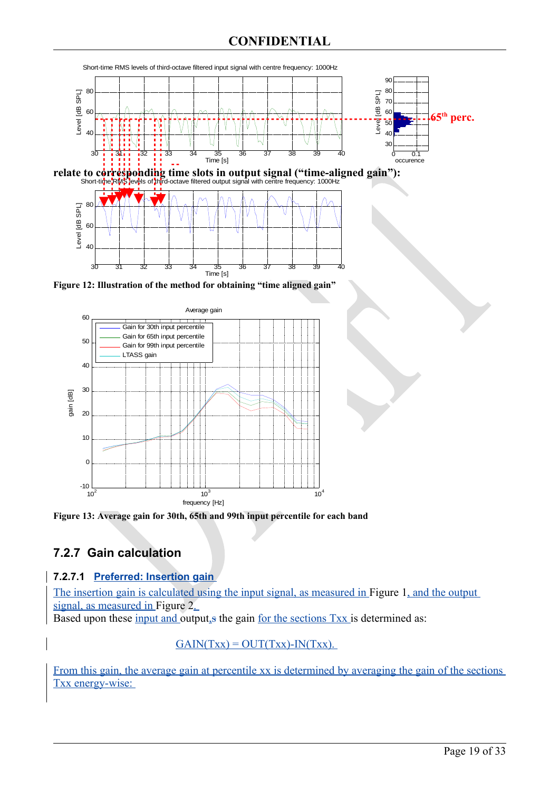### **CONFIDENTIAL**



relate to corresponding time slots in output signal ("time-aligned gain"):



**Figure 12: Illustration of the method for obtaining "time aligned gain"**



**Figure 13: Average gain for 30th, 65th and 99th input percentile for each band**

## <span id="page-18-0"></span>**7.2.7 Gain calculation**

#### **7.2.7.1 Preferred: Insertion gain**

The insertion gain is calculated using the input signal, as measured in [Figure 1,](#page-4-0) and the output signal, as measured in [Figure 2.](#page-5-0)

Based upon these input and output, is the gain for the sections Txx is determined as:

#### $GAIN(Txx) = OUT(Txx) - IN(Txx)$ .

From this gain, the average gain at percentile xx is determined by averaging the gain of the sections Txx energy-wise: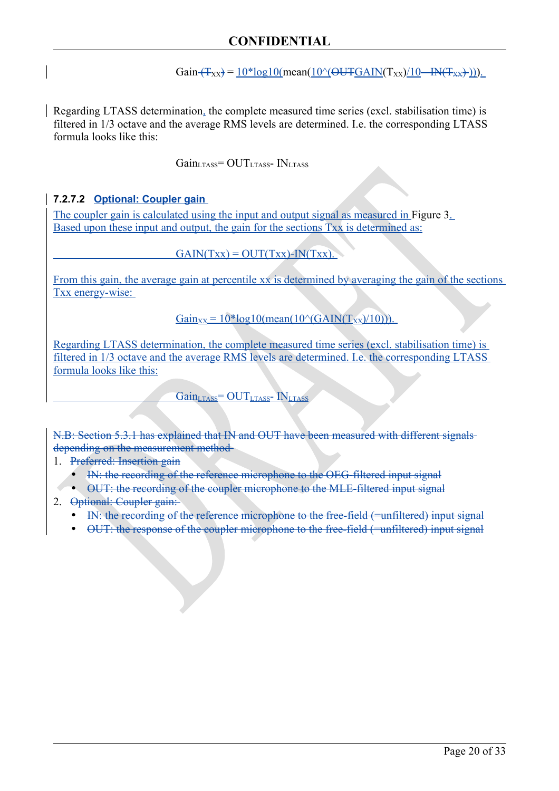### **CONFIDENTIAL**

Gain  $(T_{XX}) = 10*log10(mean(10\text{°CUTEAIN}(T_{XX})/10 - IN(T_{XX})$ )).

Regarding LTASS determination, the complete measured time series (excl. stabilisation time) is filtered in 1/3 octave and the average RMS levels are determined. I.e. the corresponding LTASS formula looks like this:

 $Gain_{LTASS} = OUT_{LTASS} - IN_{LTASS}$ 

#### **7.2.7.2 Optional: Coupler gain**

The coupler gain is calculated using the input and output signal as measured in [Figure 3.](#page-6-1) Based upon these input and output, the gain for the sections Txx is determined as:

 $GAIN(Txx) = OUT(Txx) - IN(Txx)$ .

From this gain, the average gain at percentile xx is determined by averaging the gain of the sections Txx energy-wise:

 $Gain_{\text{xx}} = 10*log10(mean(10<sup>o</sup>(GAN(T_{\text{xx}})/10))).$ 

Regarding LTASS determination, the complete measured time series (excl. stabilisation time) is filtered in 1/3 octave and the average RMS levels are determined. I.e. the corresponding LTASS formula looks like this:

 $Gain_{LTASS} = OUT_{LTASS} - IN_{LTASS}$ 

N.B: Section [5.3.1](#page-8-0) has explained that IN and OUT have been measured with different signals depending on the measurement method

1. Preferred: Insertion gain

- IN: the recording of the reference microphone to the OEG-filtered input signal
- OUT: the recording of the coupler microphone to the MLE-filtered input signal
- 2. Optional: Coupler gain:
	- IN: the recording of the reference microphone to the free-field (=unfiltered) input signal
	- OUT: the response of the coupler microphone to the free-field (=unfiltered) input signal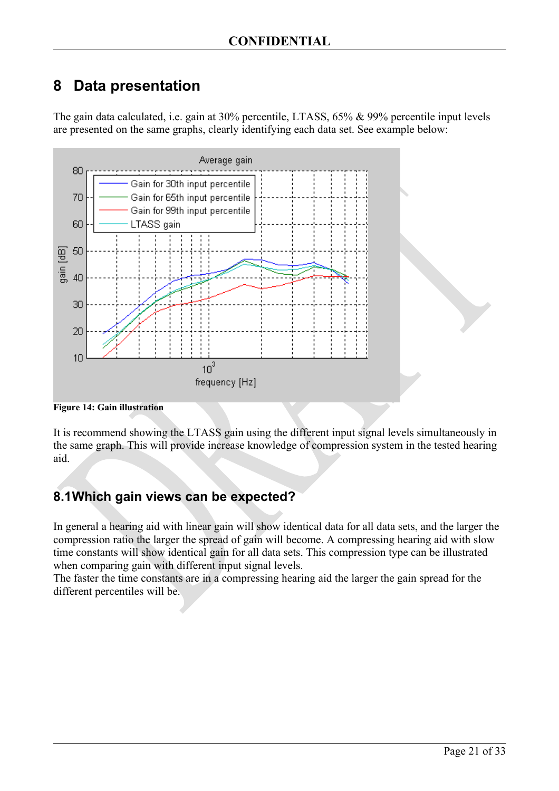## <span id="page-20-1"></span>**8 Data presentation**

The gain data calculated, i.e. gain at 30% percentile, LTASS, 65% & 99% percentile input levels are presented on the same graphs, clearly identifying each data set. See example below:



**Figure 14: Gain illustration**

It is recommend showing the LTASS gain using the different input signal levels simultaneously in the same graph. This will provide increase knowledge of compression system in the tested hearing aid.

## <span id="page-20-0"></span>**8.1Which gain views can be expected?**

In general a hearing aid with linear gain will show identical data for all data sets, and the larger the compression ratio the larger the spread of gain will become. A compressing hearing aid with slow time constants will show identical gain for all data sets. This compression type can be illustrated when comparing gain with different input signal levels.

The faster the time constants are in a compressing hearing aid the larger the gain spread for the different percentiles will be.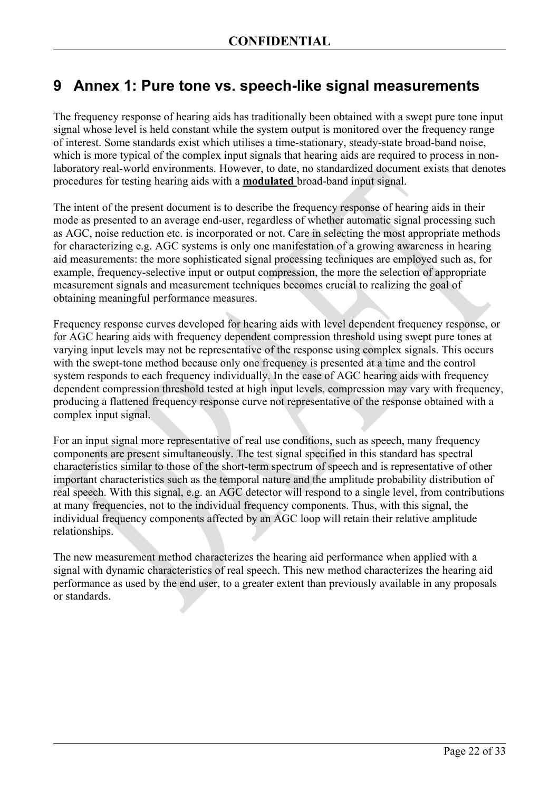## <span id="page-21-0"></span>**9 Annex 1: Pure tone vs. speech-like signal measurements**

The frequency response of hearing aids has traditionally been obtained with a swept pure tone input signal whose level is held constant while the system output is monitored over the frequency range of interest. Some standards exist which utilises a time-stationary, steady-state broad-band noise, which is more typical of the complex input signals that hearing aids are required to process in nonlaboratory real-world environments. However, to date, no standardized document exists that denotes procedures for testing hearing aids with a **modulated** broad-band input signal.

The intent of the present document is to describe the frequency response of hearing aids in their mode as presented to an average end-user, regardless of whether automatic signal processing such as AGC, noise reduction etc. is incorporated or not. Care in selecting the most appropriate methods for characterizing e.g. AGC systems is only one manifestation of a growing awareness in hearing aid measurements: the more sophisticated signal processing techniques are employed such as, for example, frequency-selective input or output compression, the more the selection of appropriate measurement signals and measurement techniques becomes crucial to realizing the goal of obtaining meaningful performance measures.

Frequency response curves developed for hearing aids with level dependent frequency response, or for AGC hearing aids with frequency dependent compression threshold using swept pure tones at varying input levels may not be representative of the response using complex signals. This occurs with the swept-tone method because only one frequency is presented at a time and the control system responds to each frequency individually. In the case of AGC hearing aids with frequency dependent compression threshold tested at high input levels, compression may vary with frequency, producing a flattened frequency response curve not representative of the response obtained with a complex input signal.

For an input signal more representative of real use conditions, such as speech, many frequency components are present simultaneously. The test signal specified in this standard has spectral characteristics similar to those of the short-term spectrum of speech and is representative of other important characteristics such as the temporal nature and the amplitude probability distribution of real speech. With this signal, e.g. an AGC detector will respond to a single level, from contributions at many frequencies, not to the individual frequency components. Thus, with this signal, the individual frequency components affected by an AGC loop will retain their relative amplitude relationships.

The new measurement method characterizes the hearing aid performance when applied with a signal with dynamic characteristics of real speech. This new method characterizes the hearing aid performance as used by the end user, to a greater extent than previously available in any proposals or standards.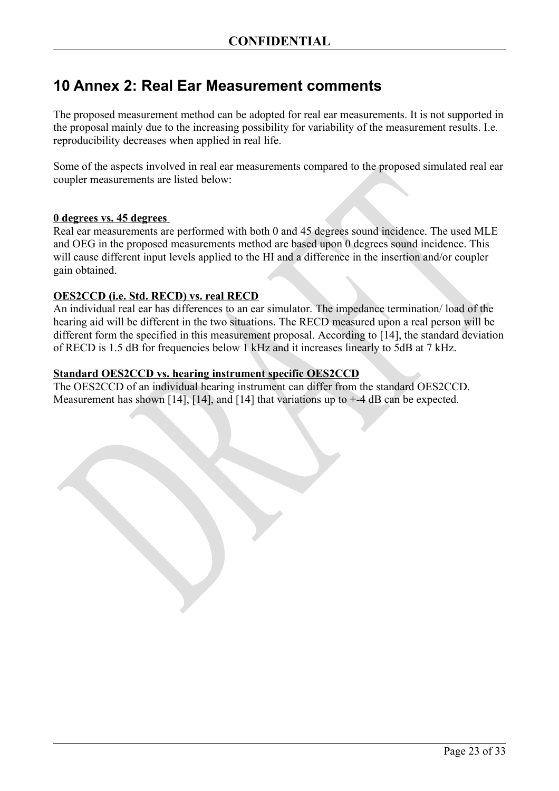## <span id="page-22-0"></span>**10 Annex 2: Real Ear Measurement comments**

The proposed measurement method can be adopted for real ear measurements. It is not supported in the proposal mainly due to the increasing possibility for variability of the measurement results. I.e. reproducibility decreases when applied in real life.

Some of the aspects involved in real ear measurements compared to the proposed simulated real ear coupler measurements are listed below:

#### **0 degrees vs. 45 degrees**

Real ear measurements are performed with both 0 and 45 degrees sound incidence. The used MLE and OEG in the proposed measurements method are based upon 0 degrees sound incidence. This will cause different input levels applied to the HI and a difference in the insertion and/or coupler gain obtained.

#### **OES2 CCD (i.e. Std. RECD) vs. real RECD**

An individual real ear has differences to an ear simulator. The impedance termination/ load of the hearing aid will be different in the two situations. The RECD measured upon a real person will be different form the specified in this measurement proposal. According to [\[14\]](#page-32-9), the standard deviation of RECD is 1.5 dB for frequencies below 1 kHz and it increases linearly to 5dB at 7 kHz.

#### **Standard OES2CCD vs. hearing instrument specific OES2CCD**

The OES2CCD of an individual hearing instrument can differ from the standard OES2CCD. Measurement has shown [\[14\]](#page-32-10), [14], and [14] that variations up to  $+4$  dB can be expected.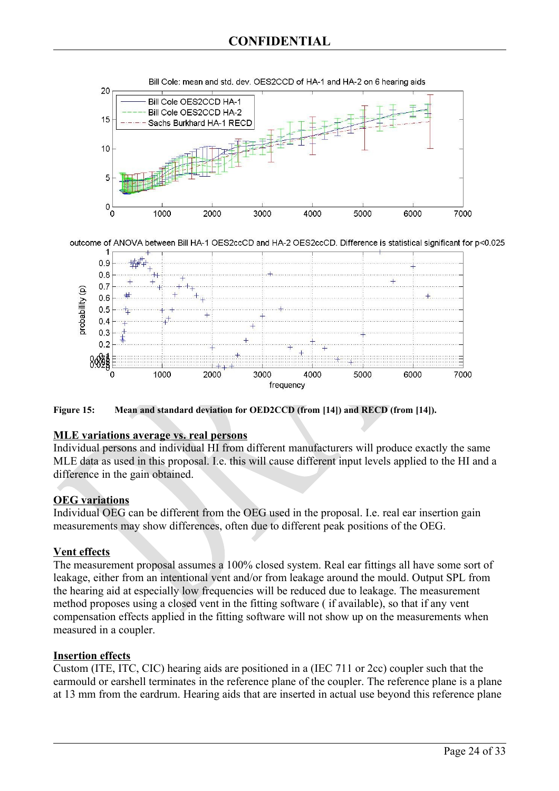

**Figure 15: Mean and standard deviation for OED2CCD (from [\[14\]](#page-32-12)) and RECD (from [\[14\]](#page-32-9)).** 

#### **MLE variations average vs. real persons**

Individual persons and individual HI from different manufacturers will produce exactly the same MLE data as used in this proposal. I.e. this will cause different input levels applied to the HI and a difference in the gain obtained.

frequency

#### **OEG variations**

Individual OEG can be different from the OEG used in the proposal. I.e. real ear insertion gain measurements may show differences, often due to different peak positions of the OEG.

#### **Vent effects**

The measurement proposal assumes a 100% closed system. Real ear fittings all have some sort of leakage, either from an intentional vent and/or from leakage around the mould. Output SPL from the hearing aid at especially low frequencies will be reduced due to leakage. The measurement method proposes using a closed vent in the fitting software ( if available), so that if any vent compensation effects applied in the fitting software will not show up on the measurements when measured in a coupler.

#### **Insertion effects**

Custom (ITE, ITC, CIC) hearing aids are positioned in a (IEC 711 or 2cc) coupler such that the earmould or earshell terminates in the reference plane of the coupler. The reference plane is a plane at 13 mm from the eardrum. Hearing aids that are inserted in actual use beyond this reference plane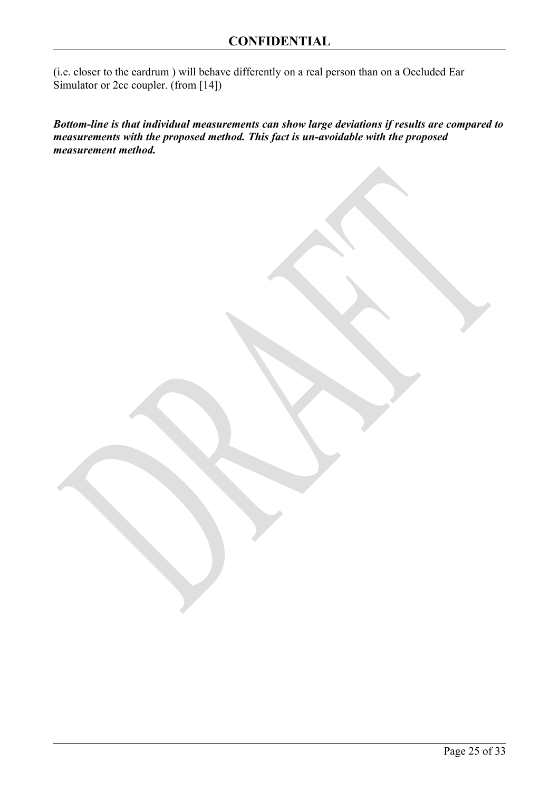(i.e. closer to the eardrum ) will behave differently on a real person than on a Occluded Ear Simulator or 2cc coupler. (from [\[14\]](#page-32-13))

*Bottom-line is that individual measurements can show large deviations if results are compared to measurements with the proposed method. This fact is un-avoidable with the proposed measurement method.*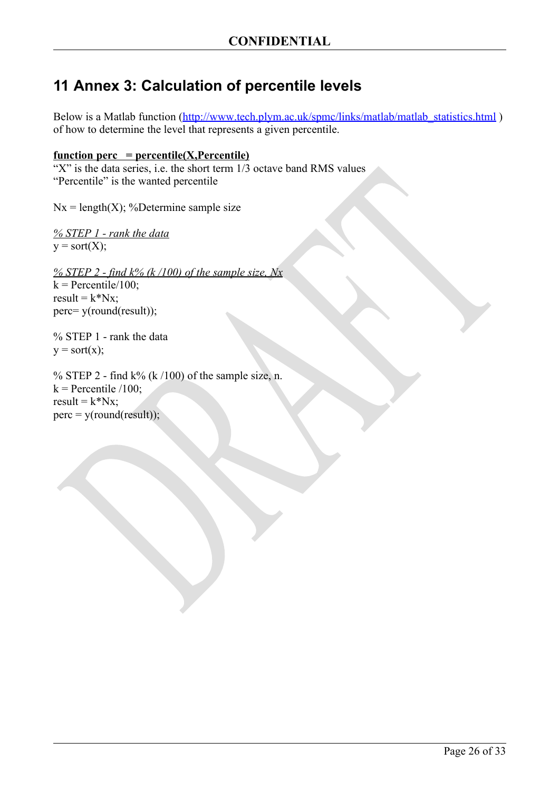## <span id="page-25-0"></span>**11 Annex 3: Calculation of percentile levels**

Below is a Matlab function (http://www.tech.plym.ac.uk/spmc/links/matlab/matlab\_statistics.html) of how to determine the level that represents a given percentile.

#### $function \nperc = percentile(X, Percentile)$

"X" is the data series, i.e. the short term  $1/3$  octave band RMS values "Percentile" is the wanted percentile

 $Nx = length(X);$  %Determine sample size

*% STEP 1 - rank the data*  $y = sort(X);$ 

*% STEP 2 - find k% (k /100) of the sample size, Nx*  $k =$  Percentile/100; result =  $k^*Nx$ : perc= y(round(result));

% STEP 1 - rank the data  $y = sort(x);$ 

% STEP 2 - find  $k\%$  (k /100) of the sample size, n.  $k$  = Percentile /100; result =  $k^*Nx;$  $perc = y(round(result));$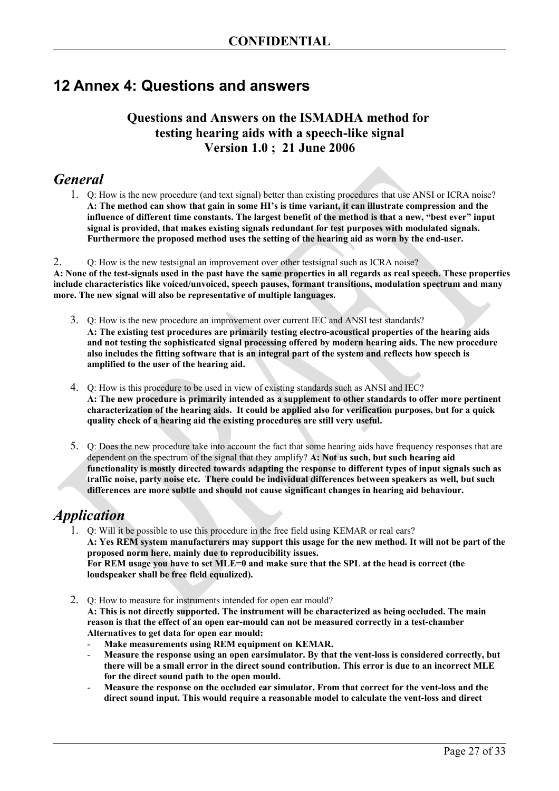## <span id="page-26-0"></span>**12 Annex 4: Questions and answers**

### **Questions and Answers on the ISMADHA method for testing hearing aids with a speech-like signal Version 1.0 ; 21 June 2006**

## *General*

1. Q: How is the new procedure (and text signal) better than existing procedures that use ANSI or ICRA noise? **A: The method can show that gain in some HI's is time variant, it can illustrate compression and the influence of different time constants. The largest benefit of the method is that a new, "best ever" input signal is provided, that makes existing signals redundant for test purposes with modulated signals. Furthermore the proposed method uses the setting of the hearing aid as worn by the end-user.**

2. Q: How is the new testsignal an improvement over other testsignal such as ICRA noise? **A: None of the test-signals used in the past have the same properties in all regards as real speech. These properties include characteristics like voiced/unvoiced, speech pauses, formant transitions, modulation spectrum and many more. The new signal will also be representative of multiple languages.**

- 3. Q: How is the new procedure an improvement over current IEC and ANSI test standards? **A: The existing test procedures are primarily testing electro-acoustical properties of the hearing aids and not testing the sophisticated signal processing offered by modern hearing aids. The new procedure also includes the fitting software that is an integral part of the system and reflects how speech is amplified to the user of the hearing aid.**
- 4. Q: How is this procedure to be used in view of existing standards such as ANSI and IEC? **A: The new procedure is primarily intended as a supplement to other standards to offer more pertinent characterization of the hearing aids. It could be applied also for verification purposes, but for a quick quality check of a hearing aid the existing procedures are still very useful.**
- 5. Q: Does the new procedure take into account the fact that some hearing aids have frequency responses that are dependent on the spectrum of the signal that they amplify? **A: Not as such, but such hearing aid functionality is mostly directed towards adapting the response to different types of input signals such as traffic noise, party noise etc. There could be individual differences between speakers as well, but such differences are more subtle and should not cause significant changes in hearing aid behaviour.**

## *Application*

- 1. Q: Will it be possible to use this procedure in the free field using KEMAR or real ears? **A: Yes REM system manufacturers may support this usage for the new method. It will not be part of the proposed norm here, mainly due to reproducibility issues. For REM usage you have to set MLE=0 and make sure that the SPL at the head is correct (the loudspeaker shall be free fleld equalized).**
- 2. Q: How to measure for instruments intended for open ear mould? **A: This is not directly supported. The instrument will be characterized as being occluded. The main reason is that the effect of an open ear-mould can not be measured correctly in a test-chamber Alternatives to get data for open ear mould:**
	- Make measurements using REM equipment on KEMAR.
	- **Measure the response using an open earsimulator. By that the vent-loss is considered correctly, but there will be a small error in the direct sound contribution. This error is due to an incorrect MLE for the direct sound path to the open mould.**
	- **Measure the response on the occluded ear simulator. From that correct for the vent-loss and the direct sound input. This would require a reasonable model to calculate the vent-loss and direct**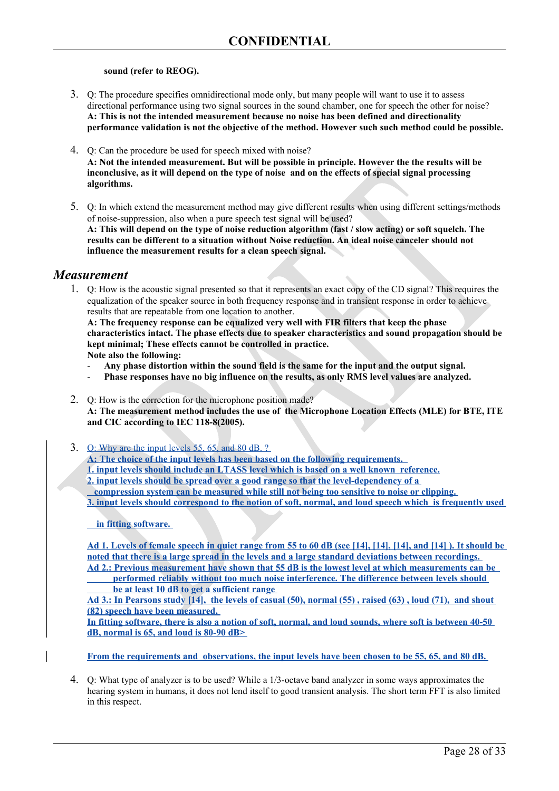#### **sound (refer to REOG).**

- 3. Q: The procedure specifies omnidirectional mode only, but many people will want to use it to assess directional performance using two signal sources in the sound chamber, one for speech the other for noise? **A: This is not the intended measurement because no noise has been defined and directionality performance validation is not the objective of the method. However such such method could be possible.**
- 4. Q: Can the procedure be used for speech mixed with noise? **A: Not the intended measurement. But will be possible in principle. However the the results will be inconclusive, as it will depend on the type of noise and on the effects of special signal processing algorithms.**
- 5. Q: In which extend the measurement method may give different results when using different settings/methods of noise-suppression, also when a pure speech test signal will be used? **A: This will depend on the type of noise reduction algorithm (fast / slow acting) or soft squelch. The results can be different to a situation without Noise reduction. An ideal noise canceler should not influence the measurement results for a clean speech signal.**

#### *Measurement*

1. Q: How is the acoustic signal presented so that it represents an exact copy of the CD signal? This requires the equalization of the speaker source in both frequency response and in transient response in order to achieve results that are repeatable from one location to another.

**A: The frequency response can be equalized very well with FIR filters that keep the phase characteristics intact. The phase effects due to speaker characteristics and sound propagation should be kept minimal; These effects cannot be controlled in practice. Note also the following:**

- **Any phase distortion within the sound field is the same for the input and the output signal.**
- **Phase responses have no big influence on the results, as only RMS level values are analyzed.**
- 2. Q: How is the correction for the microphone position made? **A: The measurement method includes the use of the Microphone Location Effects (MLE) for BTE, ITE and CIC according to IEC 118-8(2005).**
- 3. Q: Why are the input levels 55, 65, and 80 dB. ?

**A: The choice of the input levels has been based on the following requirements.** 

- **1. input levels should include an LTASS level which is based on a well known reference.**
- **2. input levels should be spread over a good range so that the level-dependency of a**

 **compression system can be measured while still not being too sensitive to noise or clipping.** 

**3. input levels should correspond to the notion of soft, normal, and loud speech which is frequently used**

 **in fitting software.** 

**Ad 1. Levels of female speech in quiet range from 55 to 60 dB (see [\[14\]](#page-32-17), [\[14\]](#page-32-16), [\[14\]](#page-32-14), and [\[14\]](#page-32-15) ). It should be noted that there is a large spread in the levels and a large standard deviations between recordings. Ad 2.: Previous measurement have shown that 55 dB is the lowest level at which measurements can be** 

 **performed reliably without too much noise interference. The difference between levels should be at least 10 dB to get a sufficient range** 

**Ad 3.: In Pearsons study [\[14\]](#page-32-14), the levels of casual (50), normal (55) , raised (63) , loud (71), and shout (82) speech have been measured.** 

**In fitting software, there is also a notion of soft, normal, and loud sounds, where soft is between 40-50 dB, normal is 65, and loud is 80-90 dB>** 

**From the requirements and observations, the input levels have been chosen to be 55, 65, and 80 dB.** 

4. Q: What type of analyzer is to be used? While a 1/3-octave band analyzer in some ways approximates the hearing system in humans, it does not lend itself to good transient analysis. The short term FFT is also limited in this respect.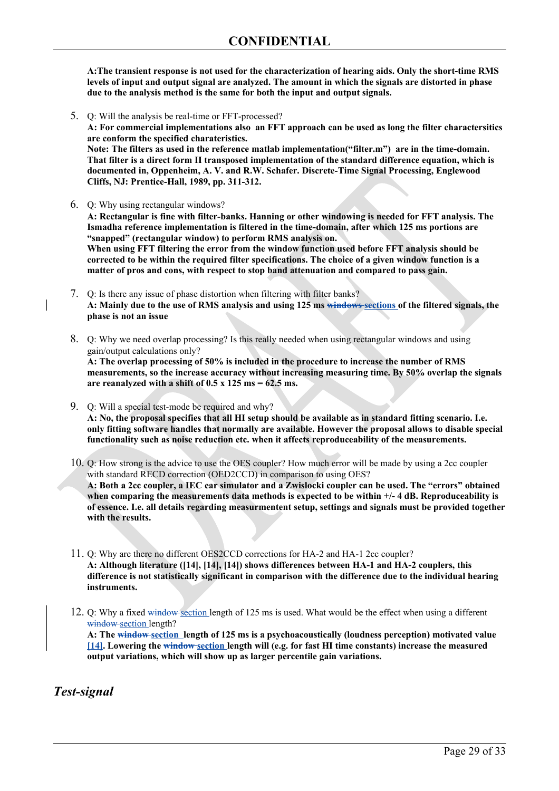**A:The transient response is not used for the characterization of hearing aids. Only the short-time RMS levels of input and output signal are analyzed. The amount in which the signals are distorted in phase due to the analysis method is the same for both the input and output signals.**

5. Q: Will the analysis be real-time or FFT-processed?

**A: For commercial implementations also an FFT approach can be used as long the filter charactersitics are conform the specified charateristics.** 

**Note: The filters as used in the reference matlab implementation("filter.m") are in the time-domain. That filter is a direct form II transposed implementation of the standard difference equation, which is documented in, Oppenheim, A. V. and R.W. Schafer. Discrete-Time Signal Processing, Englewood Cliffs, NJ: Prentice-Hall, 1989, pp. 311-312.**

6. Q: Why using rectangular windows?

**A: Rectangular is fine with filter-banks. Hanning or other windowing is needed for FFT analysis. The Ismadha reference implementation is filtered in the time-domain, after which 125 ms portions are "snapped" (rectangular window) to perform RMS analysis on.**

**When using FFT filtering the error from the window function used before FFT analysis should be corrected to be within the required filter specifications. The choice of a given window function is a matter of pros and cons, with respect to stop band attenuation and compared to pass gain.** 

- 7. Q: Is there any issue of phase distortion when filtering with filter banks? **A: Mainly due to the use of RMS analysis and using 125 ms windows sections of the filtered signals, the phase is not an issue**
- 8. Q: Why we need overlap processing? Is this really needed when using rectangular windows and using gain/output calculations only?

**A: The overlap processing of 50% is included in the procedure to increase the number of RMS measurements, so the increase accuracy without increasing measuring time. By 50% overlap the signals are reanalyzed with a shift of 0.5 x 125 ms = 62.5 ms.**

9. Q: Will a special test-mode be required and why? **A: No, the proposal specifies that all HI setup should be available as in standard fitting scenario. I.e. only fitting software handles that normally are available. However the proposal allows to disable special functionality such as noise reduction etc. when it affects reproduceability of the measurements.**

10. Q: How strong is the advice to use the OES coupler? How much error will be made by using a 2cc coupler with standard RECD correction (OED2CCD) in comparison to using OES? **A: Both a 2cc coupler, a IEC ear simulator and a Zwislocki coupler can be used. The "errors" obtained when comparing the measurements data methods is expected to be within +/- 4 dB. Reproduceability is of essence. I.e. all details regarding measurmentent setup, settings and signals must be provided together with the results.**

11. Q: Why are there no different OES2CCD corrections for HA-2 and HA-1 2cc coupler? **A: Although literature ([\[14\]](#page-32-12), [\[14\]](#page-32-11), [\[14\]](#page-32-10)) shows differences between HA-1 and HA-2 couplers, this difference is not statistically significant in comparison with the difference due to the individual hearing instruments.** 

12. Q: Why a fixed window section length of 125 ms is used. What would be the effect when using a different window section length? **A: The window section length of 125 ms is a psychoacoustically (loudness perception) motivated value [\[14\]](#page-32-7). Lowering the window section length will (e.g. for fast HI time constants) increase the measured output variations, which will show up as larger percentile gain variations.**

*Test-signal*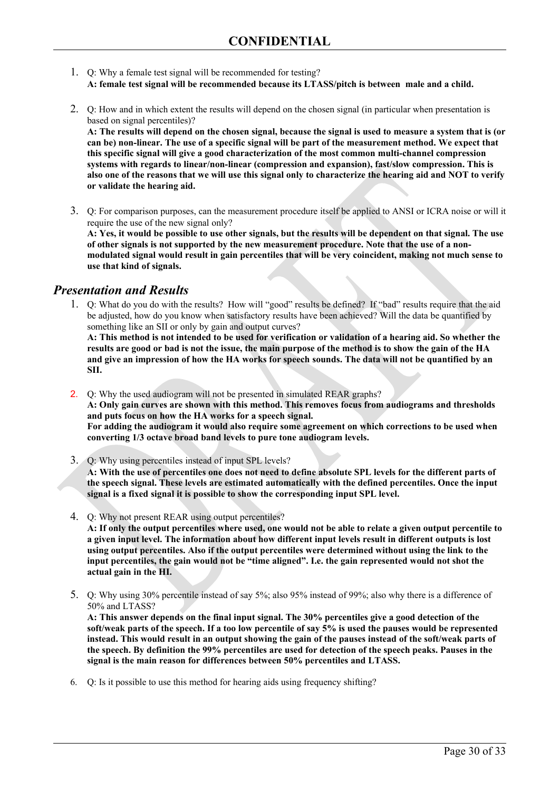- 1. Q: Why a female test signal will be recommended for testing? **A: female test signal will be recommended because its LTASS/pitch is between male and a child.**
- 2. Q: How and in which extent the results will depend on the chosen signal (in particular when presentation is based on signal percentiles)?

**A: The results will depend on the chosen signal, because the signal is used to measure a system that is (or can be) non-linear. The use of a specific signal will be part of the measurement method. We expect that this specific signal will give a good characterization of the most common multi-channel compression systems with regards to linear/non-linear (compression and expansion), fast/slow compression. This is also one of the reasons that we will use this signal only to characterize the hearing aid and NOT to verify or validate the hearing aid.**

3. Q: For comparison purposes, can the measurement procedure itself be applied to ANSI or ICRA noise or will it require the use of the new signal only? **A: Yes, it would be possible to use other signals, but the results will be dependent on that signal. The use**

**of other signals is not supported by the new measurement procedure. Note that the use of a nonmodulated signal would result in gain percentiles that will be very coincident, making not much sense to use that kind of signals.**

#### *Presentation and Results*

1. Q: What do you do with the results? How will "good" results be defined? If "bad" results require that the aid be adjusted, how do you know when satisfactory results have been achieved? Will the data be quantified by something like an SII or only by gain and output curves?

**A: This method is not intended to be used for verification or validation of a hearing aid. So whether the results are good or bad is not the issue, the main purpose of the method is to show the gain of the HA and give an impression of how the HA works for speech sounds. The data will not be quantified by an SII.**

2. Q: Why the used audiogram will not be presented in simulated REAR graphs? **A: Only gain curves are shown with this method. This removes focus from audiograms and thresholds and puts focus on how the HA works for a speech signal. For adding the audiogram it would also require some agreement on which corrections to be used when converting 1/3 octave broad band levels to pure tone audiogram levels.**

- 3. Q: Why using percentiles instead of input SPL levels? **A: With the use of percentiles one does not need to define absolute SPL levels for the different parts of the speech signal. These levels are estimated automatically with the defined percentiles. Once the input signal is a fixed signal it is possible to show the corresponding input SPL level.**
- 4. Q: Why not present REAR using output percentiles? **A: If only the output percentiles where used, one would not be able to relate a given output percentile to a given input level. The information about how different input levels result in different outputs is lost using output percentiles. Also if the output percentiles were determined without using the link to the input percentiles, the gain would not be "time aligned". I.e. the gain represented would not shot the actual gain in the HI.**
- 5. Q: Why using 30% percentile instead of say 5%; also 95% instead of 99%; also why there is a difference of 50% and LTASS?

**A: This answer depends on the final input signal. The 30% percentiles give a good detection of the soft/weak parts of the speech. If a too low percentile of say 5% is used the pauses would be represented instead. This would result in an output showing the gain of the pauses instead of the soft/weak parts of the speech. By definition the 99% percentiles are used for detection of the speech peaks. Pauses in the signal is the main reason for differences between 50% percentiles and LTASS.**

6. Q: Is it possible to use this method for hearing aids using frequency shifting?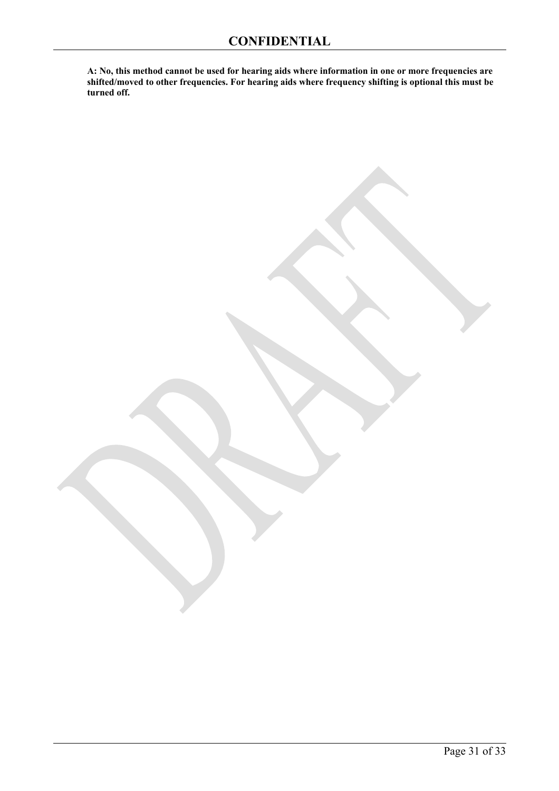**A: No, this method cannot be used for hearing aids where information in one or more frequencies are shifted/moved to other frequencies. For hearing aids where frequency shifting is optional this must be turned off.**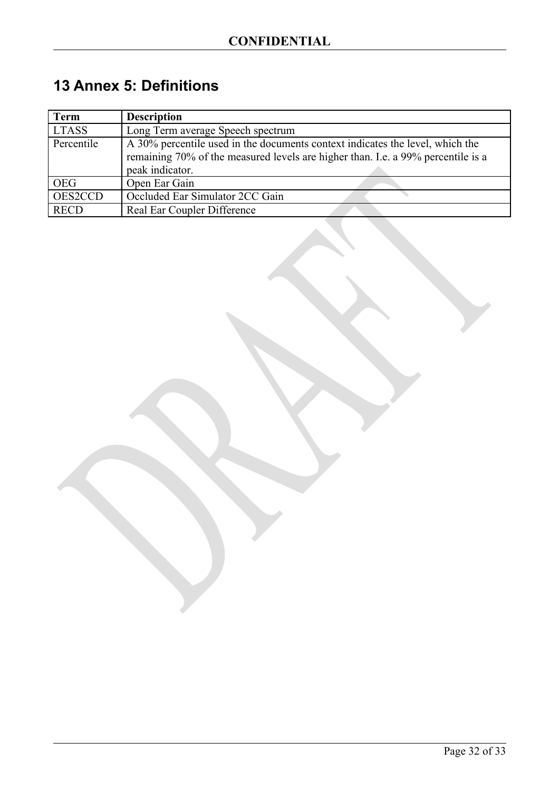## <span id="page-31-0"></span>**13 Annex 5: Definitions**

| Term         | <b>Description</b>                                                                                                                                                |
|--------------|-------------------------------------------------------------------------------------------------------------------------------------------------------------------|
| <b>LTASS</b> | Long Term average Speech spectrum                                                                                                                                 |
| Percentile   | A 30% percentile used in the documents context indicates the level, which the<br>remaining 70% of the measured levels are higher than. I.e. a 99% percentile is a |
|              | peak indicator.                                                                                                                                                   |
| <b>OEG</b>   | Open Ear Gain                                                                                                                                                     |
| OES2CCD      | Occluded Ear Simulator 2CC Gain                                                                                                                                   |
| <b>RECD</b>  | Real Ear Coupler Difference                                                                                                                                       |